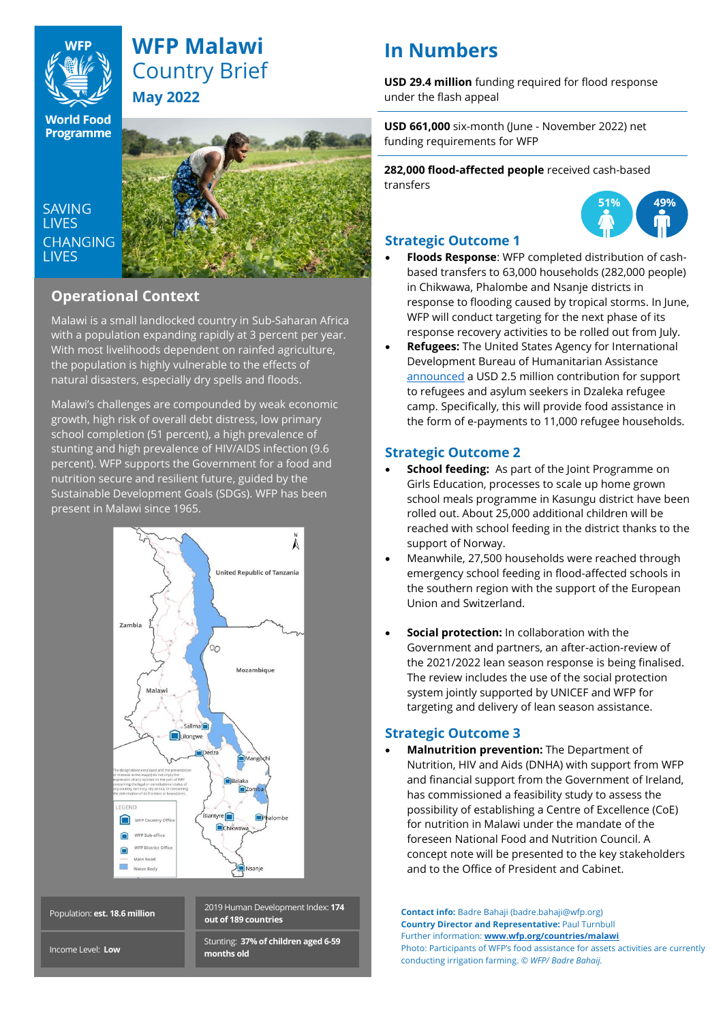

# **WFP Malawi** Country Brief **May 2022**

**World Food Programme** 

**SAVING LIVES CHANGING LIVES** 



# **Operational Context**

Malawi is a small landlocked country in Sub-Saharan Africa with a population expanding rapidly at 3 percent per year. With most livelihoods dependent on rainfed agriculture, the population is highly vulnerable to the effects of natural disasters, especially dry spells and floods.

Malawi's challenges are compounded by weak economic growth, high risk of overall debt distress, low primary school completion (51 percent), a high prevalence of stunting and high prevalence of HIV/AIDS infection (9.6 percent). WFP supports the Government for a food and nutrition secure and resilient future, guided by the Sustainable Development Goals (SDGs). WFP has been present in Malawi since 1965.



Population: **est. 18.6 million**

2019 Human Development Index: **174 out of 189 countries**

Stunting: **37% of children aged 6-59 months old**

# **In Numbers**

**USD 29.4 million** funding required for flood response under the flash appeal

**USD 661,000** six-month (June - November 2022) net funding requirements for WFP

**282,000 flood-affected people** received cash-based transfers



# **Strategic Outcome 1**

- **Floods Response**: WFP completed distribution of cashbased transfers to 63,000 households (282,000 people) in Chikwawa, Phalombe and Nsanje districts in response to flooding caused by tropical storms. In June, WFP will conduct targeting for the next phase of its response recovery activities to be rolled out from July.
- **Refugees:** The United States Agency for International Development Bureau of Humanitarian Assistance [announced](https://twitter.com/WFP_Malawi/status/1526838486023737344?s=20&t=_8UnYToWpJjJZ0ugLJnfow) a USD 2.5 million contribution for support to refugees and asylum seekers in Dzaleka refugee camp. Specifically, this will provide food assistance in the form of e-payments to 11,000 refugee households.

## **Strategic Outcome 2**

- **School feeding:** As part of the Joint Programme on Girls Education, processes to scale up home grown school meals programme in Kasungu district have been rolled out. About 25,000 additional children will be reached with school feeding in the district thanks to the support of Norway.
- Meanwhile, 27,500 households were reached through emergency school feeding in flood-affected schools in the southern region with the support of the European Union and Switzerland.
- **Social protection:** In collaboration with the Government and partners, an after-action-review of the 2021/2022 lean season response is being finalised. The review includes the use of the social protection system jointly supported by UNICEF and WFP for targeting and delivery of lean season assistance.

# **Strategic Outcome 3**

• **Malnutrition prevention:** The Department of Nutrition, HIV and Aids (DNHA) with support from WFP and financial support from the Government of Ireland, has commissioned a feasibility study to assess the possibility of establishing a Centre of Excellence (CoE) for nutrition in Malawi under the mandate of the foreseen National Food and Nutrition Council. A concept note will be presented to the key stakeholders and to the Office of President and Cabinet.

**Contact info:** Badre Bahaji (badre.bahaji@wfp.org) **Country Director and Representative:** Paul Turnbull Further information: **[www.wfp.org/countries/malawi](http://www.wfp.org/countries/malawi)** Photo: Participants of WFP's food assistance for assets activities are currently conducting irrigation farming. *© WFP/ Badre Bahaij.* 

Income Level: **Low**